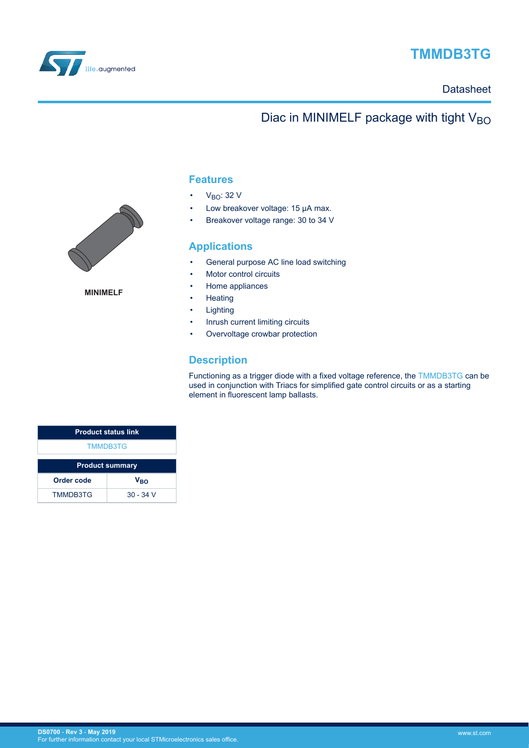

# **TMMDB3TG**

### **Datasheet**

## Diac in MINIMELF package with tight  $V_{BO}$



**MINIMELF**

### **Features**

- $V_{BO}: 32 V$
- Low breakover voltage: 15 µA max.
- Breakover voltage range: 30 to 34 V

### **Applications**

- General purpose AC line load switching
- Motor control circuits
- Home appliances
- Heating
- Lighting
- Inrush current limiting circuits
- Overvoltage crowbar protection

### **Description**

Functioning as a trigger diode with a fixed voltage reference, the [TMMDB3TG](https://www.st.com/en/product/tmmdb3tg) can be used in conjunction with Triacs for simplified gate control circuits or as a starting element in fluorescent lamp ballasts.

| <b>Product status link</b> |                 |  |
|----------------------------|-----------------|--|
| <b>TMMDB3TG</b>            |                 |  |
| <b>Product summary</b>     |                 |  |
| Order code                 | V <sub>RO</sub> |  |
| <b>TMMDB3TG</b>            | $30 - 34$ V     |  |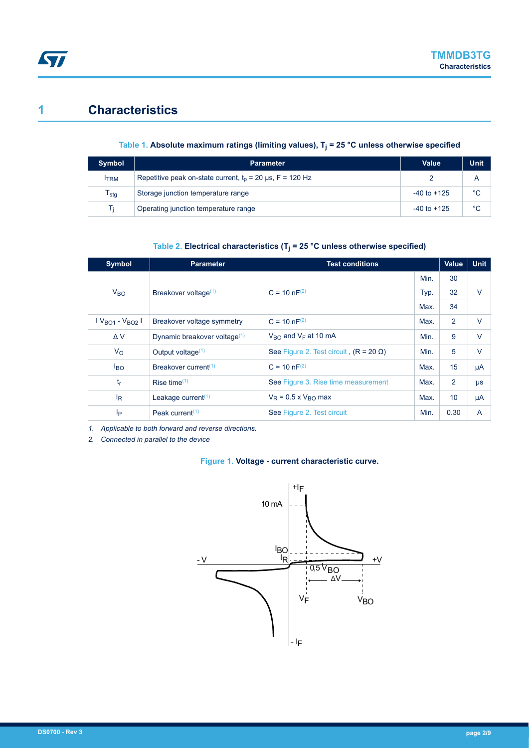## **1 Characteristics**

**ST** 

### **Table 1. Absolute maximum ratings (limiting values), T<sup>j</sup> = 25 °C unless otherwise specified**

| Symbol                      | <b>Parameter</b>                                            | Value           | <b>Unit</b> |
|-----------------------------|-------------------------------------------------------------|-----------------|-------------|
| <b>ITRM</b>                 | Repetitive peak on-state current, $t_0$ = 20 µs, F = 120 Hz |                 |             |
| $\mathsf{T}_{\textsf{stg}}$ | Storage junction temperature range                          | $-40$ to $+125$ | °С          |
| Tı                          | Operating junction temperature range                        | $-40$ to $+125$ | °C          |

### **Table 2. Electrical characteristics (T<sup>j</sup> = 25 °C unless otherwise specified)**

| <b>Symbol</b>       | <b>Parameter</b>                         | <b>Test conditions</b>                       |      | <b>Value</b>   | <b>Unit</b> |
|---------------------|------------------------------------------|----------------------------------------------|------|----------------|-------------|
|                     |                                          |                                              | Min. | 30             |             |
| V <sub>BO</sub>     | Breakover voltage <sup>(1)</sup>         | $C = 10 nF^{(2)}$                            | Typ. | 32             | $\vee$      |
|                     |                                          |                                              |      | 34             |             |
| $V_{BO1} - V_{BO2}$ | Breakover voltage symmetry               | $C = 10 nF^{(2)}$                            | Max. | 2              | $\vee$      |
| $\Delta V$          | Dynamic breakover voltage <sup>(1)</sup> | $V_{\text{RO}}$ and $V_{\text{F}}$ at 10 mA  | Min. | 9              | $\vee$      |
| $V_{\rm O}$         | Output voltage <sup>(1)</sup>            | See Figure 2. Test circuit $(R = 20 \Omega)$ | Min. | 5              | $\vee$      |
| <b>BO</b>           | Breakover current <sup>(1)</sup>         | $C = 10 nF^{(2)}$                            | Max. | 15             | μA          |
| tr                  | Rise time $(1)$                          | See Figure 3. Rise time measurement          | Max. | $\overline{2}$ | $\mu s$     |
| $I_R$               | Leakage current $(1)$                    | $V_R$ = 0.5 x $V_{RO}$ max                   | Max. | 10             | μA          |
| Iр                  | Peak current <sup><math>(1)</math></sup> | See Figure 2. Test circuit                   | Min. | 0.30           | A           |

*1. Applicable to both forward and reverse directions.*

*2. Connected in parallel to the device*

### **Figure 1. Voltage - current characteristic curve.**

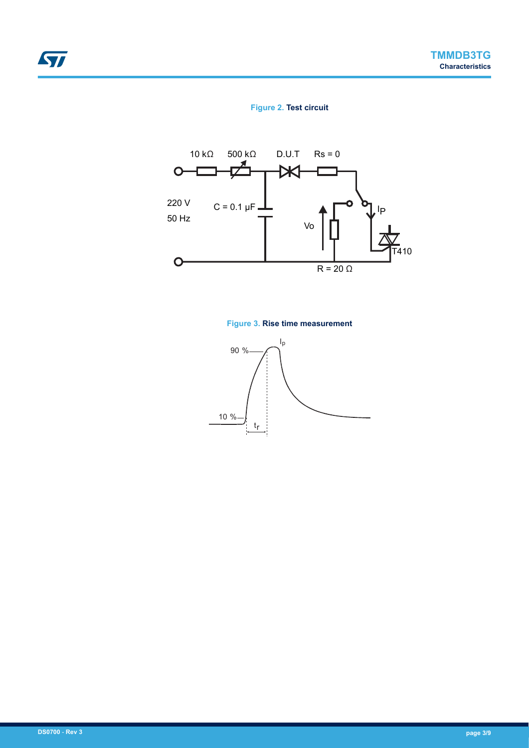### **Figure 2. Test circuit**



### **Figure 3. Rise time measurement**



<span id="page-2-0"></span>ST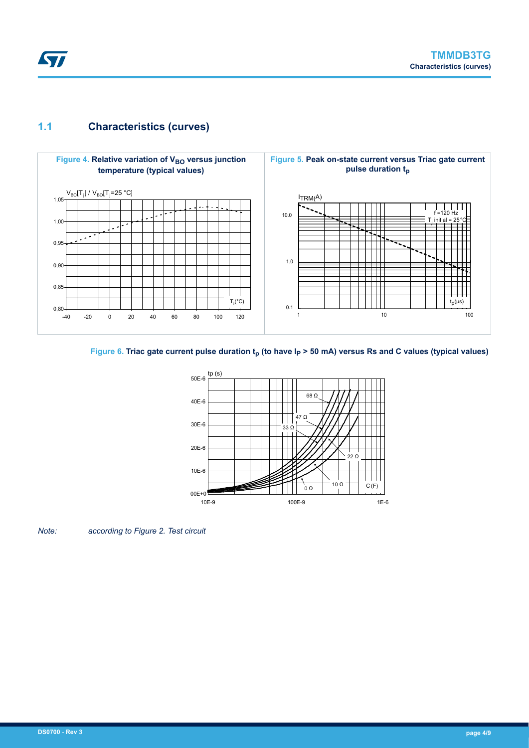<span id="page-3-0"></span>

## **1.1 Characteristics (curves)**



### **Figure 6. Triac gate current pulse duration tp (to have IP > 50 mA) versus Rs and C values (typical values)**



*Note: according to Figure 2. Test circuit*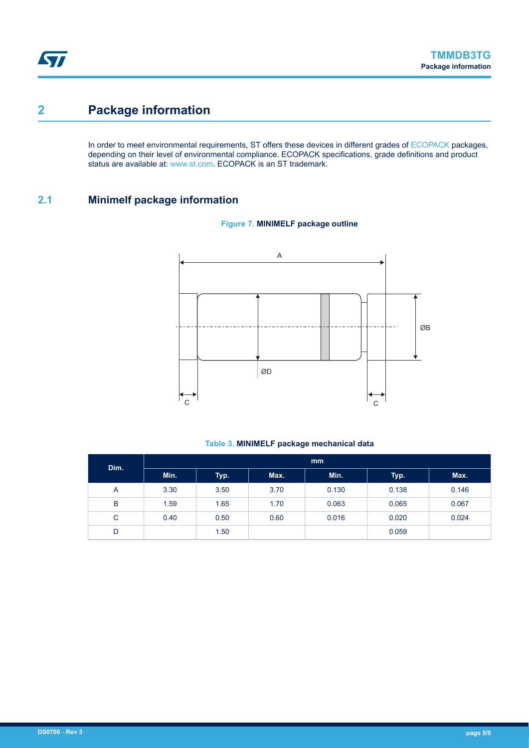## <span id="page-4-0"></span>**2 Package information**

In order to meet environmental requirements, ST offers these devices in different grades of [ECOPACK](https://www.st.com/ecopack) packages, depending on their level of environmental compliance. ECOPACK specifications, grade definitions and product status are available at: [www.st.com.](http://www.st.com) ECOPACK is an ST trademark.

## **2.1 Minimelf package information**



### **Figure 7. MINIMELF package outline**

#### **Table 3. MINIMELF package mechanical data**

| Dim. | mm   |      |      |       |       |       |
|------|------|------|------|-------|-------|-------|
|      | Min. | Typ. | Max. | Min.  | Typ.  | Max.  |
| A    | 3.30 | 3.50 | 3.70 | 0.130 | 0.138 | 0.146 |
| B    | 1.59 | 1.65 | 1.70 | 0.063 | 0.065 | 0.067 |
| C    | 0.40 | 0.50 | 0.60 | 0.016 | 0.020 | 0.024 |
| D    |      | 1.50 |      |       | 0.059 |       |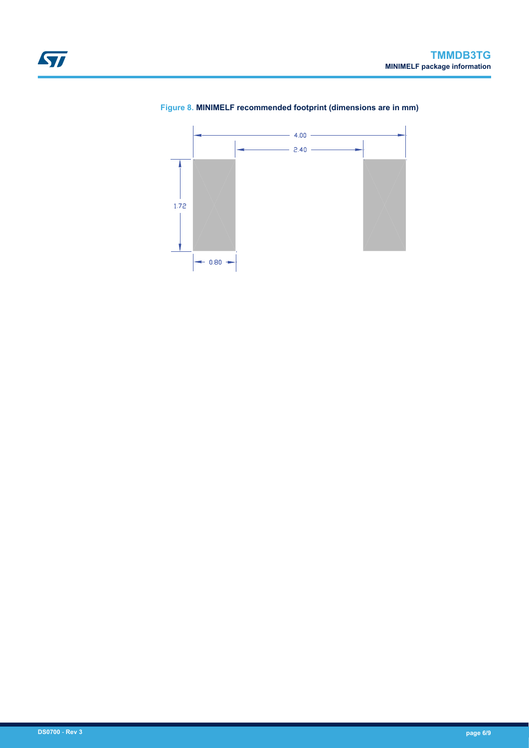



### **Figure 8. MINIMELF recommended footprint (dimensions are in mm)**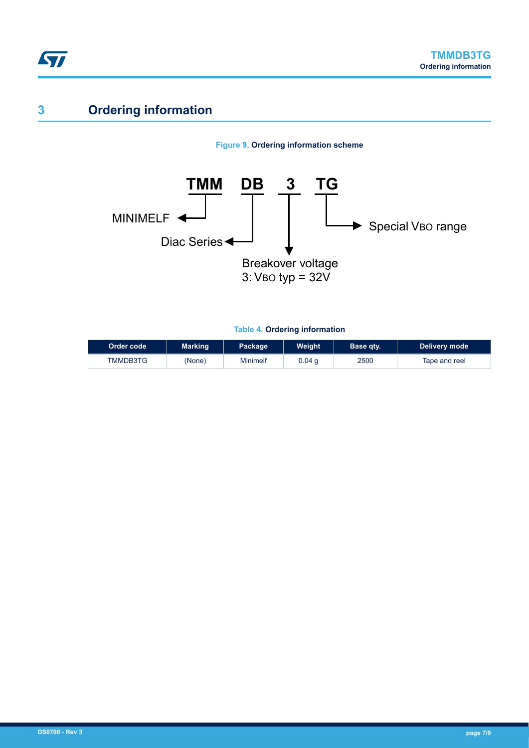# **3 Ordering information**

ST





**Table 4. Ordering information**

| Order code | <b>Marking</b> | Package  | Weight   | Base qtv. | Delivery mode |
|------------|----------------|----------|----------|-----------|---------------|
| TMMDB3TG   | (None)         | Minimelf | $0.04$ q | 2500      | Tape and reel |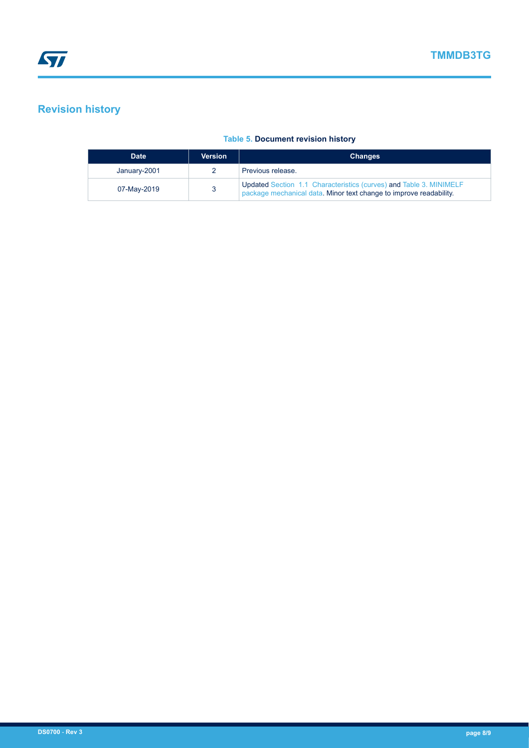## **Revision history**

### **Table 5. Document revision history**

| <b>Date</b>  | <b>Version</b> | <b>Changes</b>                                                                                                                           |
|--------------|----------------|------------------------------------------------------------------------------------------------------------------------------------------|
| January-2001 |                | Previous release.                                                                                                                        |
| 07-May-2019  |                | Updated Section 1.1 Characteristics (curves) and Table 3. MINIMELF<br>package mechanical data. Minor text change to improve readability. |